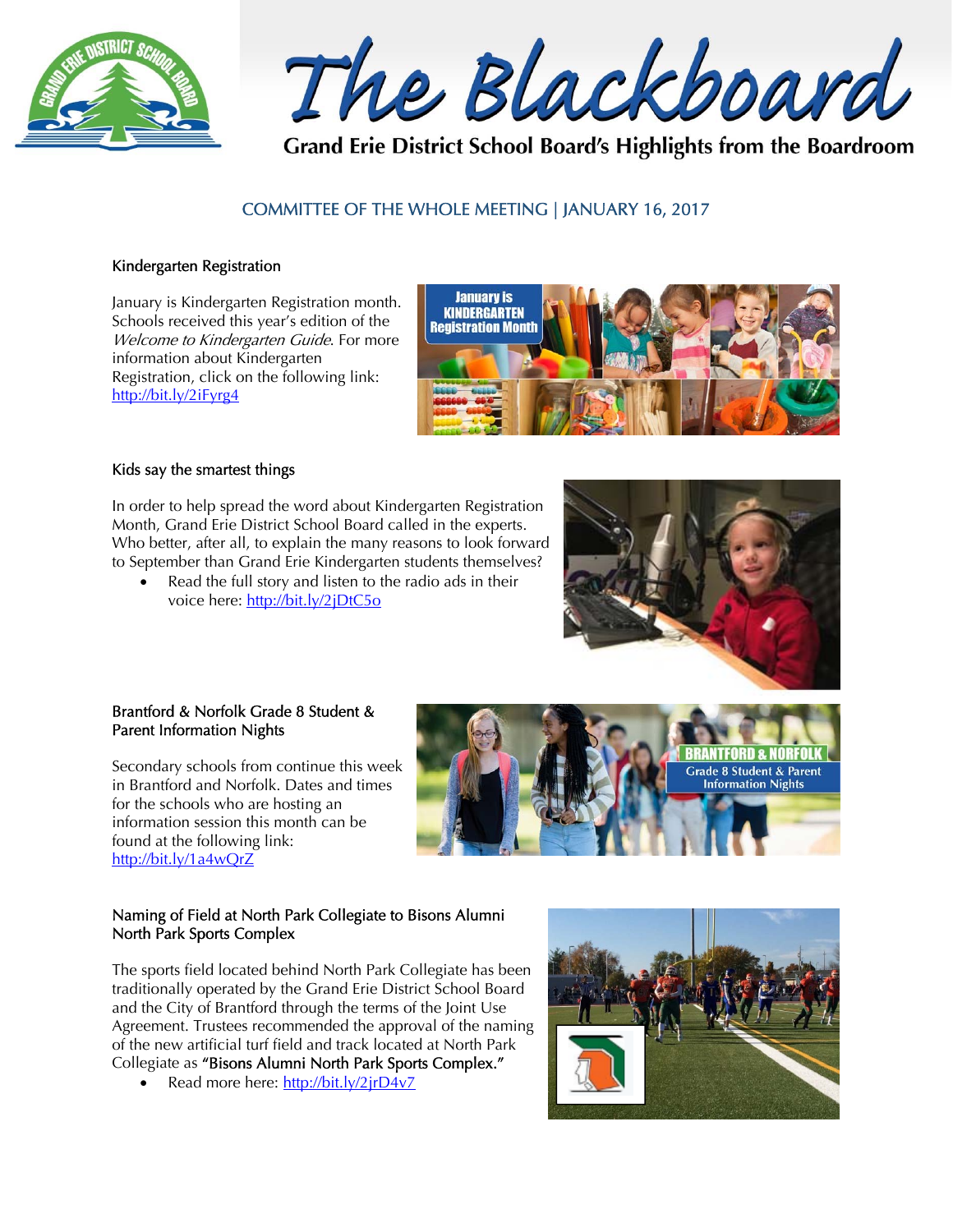

The Blackboard

Grand Erie District School Board's Highlights from the Boardroom

# COMMITTEE OF THE WHOLE MEETING | JANUARY 16, 2017

#### Kindergarten Registration

January is Kindergarten Registration month. Schools received this year's edition of the Welcome to Kindergarten Guide. For more information about Kindergarten Registration, click on the following link: http://bit.ly/2iFyrg4



#### Kids say the smartest things

In order to help spread the word about Kindergarten Registration Month, Grand Erie District School Board called in the experts. Who better, after all, to explain the many reasons to look forward to September than Grand Erie Kindergarten students themselves?

 Read the full story and listen to the radio ads in their voice here: http://bit.ly/2jDtC5o



#### Brantford & Norfolk Grade 8 Student & Parent Information Nights

Secondary schools from continue this week in Brantford and Norfolk. Dates and times for the schools who are hosting an information session this month can be found at the following link: http://bit.ly/1a4wQrZ

# **BRANTFORD & NORFO Grade 8 Student & Parent Information Nights**

# Naming of Field at North Park Collegiate to Bisons Alumni North Park Sports Complex

The sports field located behind North Park Collegiate has been traditionally operated by the Grand Erie District School Board and the City of Brantford through the terms of the Joint Use Agreement. Trustees recommended the approval of the naming of the new artificial turf field and track located at North Park Collegiate as "Bisons Alumni North Park Sports Complex."

Read more here: http://bit.ly/2jrD4v7

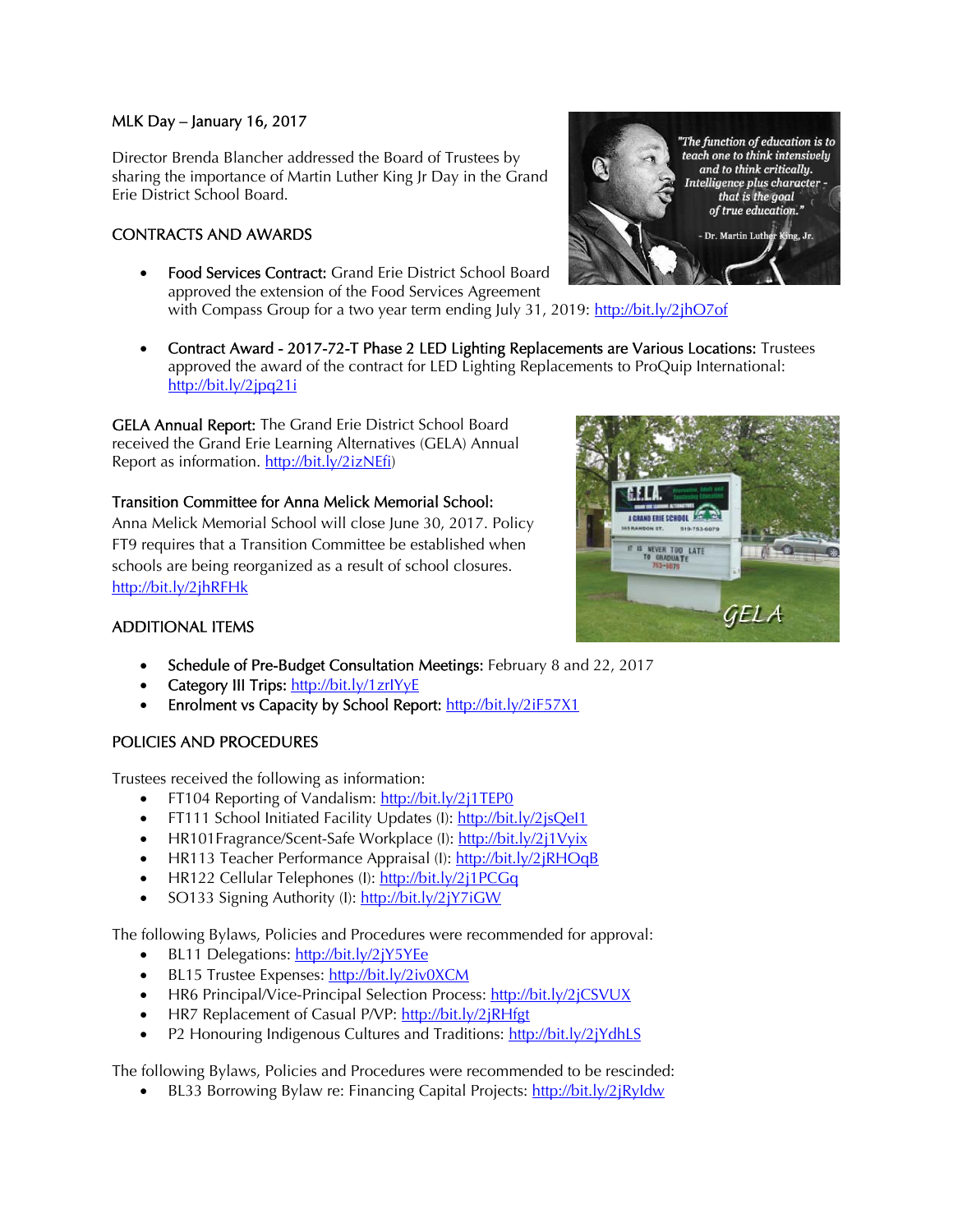#### MLK Day – January 16, 2017

Director Brenda Blancher addressed the Board of Trustees by sharing the importance of Martin Luther King Jr Day in the Grand Erie District School Board.

# CONTRACTS AND AWARDS

- Food Services Contract: Grand Erie District School Board approved the extension of the Food Services Agreement with Compass Group for a two year term ending July 31, 2019: http://bit.ly/2jhO7of
	- Contract Award 2017-72-T Phase 2 LED Lighting Replacements are Various Locations: Trustees approved the award of the contract for LED Lighting Replacements to ProQuip International: http://bit.ly/2jpq21i

GELA Annual Report: The Grand Erie District School Board received the Grand Erie Learning Alternatives (GELA) Annual Report as information. http://bit.ly/2izNEfi)

# Transition Committee for Anna Melick Memorial School:

Anna Melick Memorial School will close June 30, 2017. Policy FT9 requires that a Transition Committee be established when schools are being reorganized as a result of school closures. http://bit.ly/2jhRFHk





# ADDITIONAL ITEMS

- Schedule of Pre-Budget Consultation Meetings: February 8 and 22, 2017
- Category III Trips: http://bit.ly/1zrlYyE
- Enrolment vs Capacity by School Report: http://bit.ly/2iF57X1

# POLICIES AND PROCEDURES

Trustees received the following as information:

- FT104 Reporting of Vandalism: http://bit.ly/2j1TEP0
- FT111 School Initiated Facility Updates (I): http://bit.ly/2jsQel1
- HR101Fragrance/Scent-Safe Workplace (I): http://bit.ly/2j1Vyix
- HR113 Teacher Performance Appraisal (I): http://bit.ly/2jRHOqB
- HR122 Cellular Telephones (I): http://bit.ly/2j1PCGq
- SO133 Signing Authority (I): http://bit.ly/2jY7iGW

The following Bylaws, Policies and Procedures were recommended for approval:

- BL11 Delegations: http://bit.ly/2jY5YEe
- BL15 Trustee Expenses: http://bit.ly/2iv0XCM
- HR6 Principal/Vice-Principal Selection Process: http://bit.ly/2jCSVUX
- HR7 Replacement of Casual P/VP: http://bit.ly/2jRHfgt
- P2 Honouring Indigenous Cultures and Traditions: http://bit.ly/2jYdhLS

The following Bylaws, Policies and Procedures were recommended to be rescinded:

BL33 Borrowing Bylaw re: Financing Capital Projects: http://bit.ly/2jRyIdw